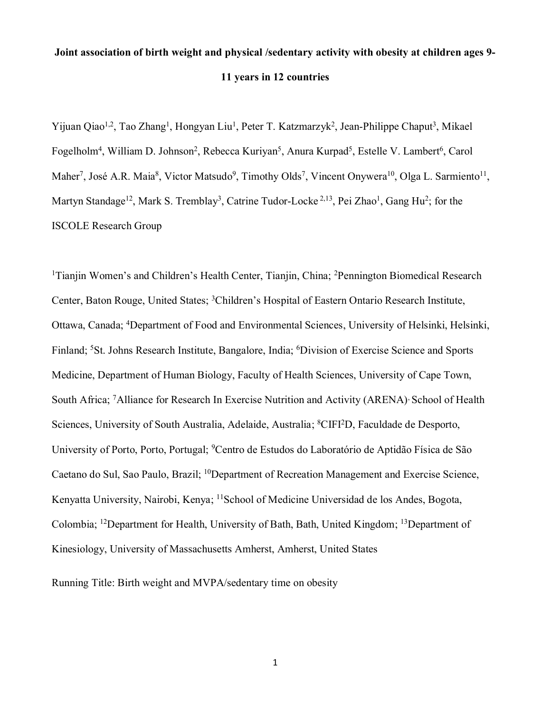# **Joint association of birth weight and physical /sedentary activity with obesity at children ages 9- 11 years in 12 countries**

Yijuan Qiao<sup>1,2</sup>, Tao Zhang<sup>1</sup>, Hongyan Liu<sup>1</sup>, Peter T. Katzmarzyk<sup>2</sup>, Jean-Philippe Chaput<sup>3</sup>, Mikael Fogelholm<sup>4</sup>, William D. Johnson<sup>2</sup>, Rebecca Kuriyan<sup>5</sup>, Anura Kurpad<sup>5</sup>, Estelle V. Lambert<sup>6</sup>, Carol Maher<sup>7</sup>, José A.R. Maia<sup>8</sup>, Victor Matsudo<sup>9</sup>, Timothy Olds<sup>7</sup>, Vincent Onywera<sup>10</sup>, Olga L. Sarmiento<sup>11</sup>, Martyn Standage<sup>12</sup>, Mark S. Tremblay<sup>3</sup>, Catrine Tudor-Locke<sup>2,13</sup>, Pei Zhao<sup>1</sup>, Gang Hu<sup>2</sup>; for the ISCOLE Research Group

<sup>1</sup>Tianjin Women's and Children's Health Center, Tianjin, China; <sup>2</sup>Pennington Biomedical Research Center, Baton Rouge, United States; <sup>3</sup>Children's Hospital of Eastern Ontario Research Institute, Ottawa, Canada; <sup>4</sup>Department of Food and Environmental Sciences, University of Helsinki, Helsinki, Finland; <sup>5</sup>St. Johns Research Institute, Bangalore, India; <sup>6</sup>Division of Exercise Science and Sports Medicine, Department of Human Biology, Faculty of Health Sciences, University of Cape Town, South Africa; <sup>7</sup>Alliance for Research In Exercise Nutrition and Activity (ARENA) School of Health Sciences, University of South Australia, Adelaide, Australia; <sup>8</sup>CIFI<sup>2</sup>D, Faculdade de Desporto, University of Porto, Porto, Portugal; <sup>9</sup>Centro de Estudos do Laboratório de Aptidão Física de São Caetano do Sul, Sao Paulo, Brazil; <sup>10</sup>Department of Recreation Management and Exercise Science, Kenyatta University, Nairobi, Kenya; <sup>11</sup>School of Medicine Universidad de los Andes, Bogota, Colombia; <sup>12</sup>Department for Health, University of Bath, Bath, United Kingdom; <sup>13</sup>Department of Kinesiology, University of Massachusetts Amherst, Amherst, United States

Running Title: Birth weight and MVPA/sedentary time on obesity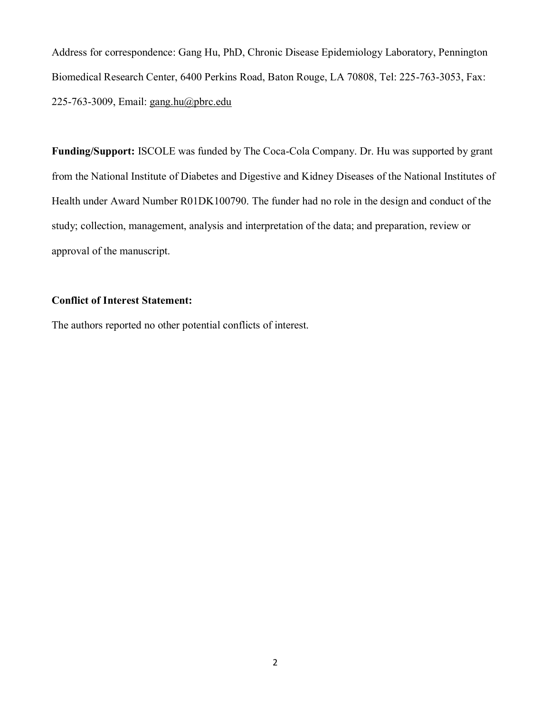Address for correspondence: Gang Hu, PhD, Chronic Disease Epidemiology Laboratory, Pennington Biomedical Research Center, 6400 Perkins Road, Baton Rouge, LA 70808, Tel: 225-763-3053, Fax: 225-763-3009, Email: [gang.hu@pbrc.edu](mailto:gang.hu@pbrc.edu)

**Funding/Support:** ISCOLE was funded by The Coca-Cola Company. Dr. Hu was supported by grant from the National Institute of Diabetes and Digestive and Kidney Diseases of the National Institutes of Health under Award Number R01DK100790. The funder had no role in the design and conduct of the study; collection, management, analysis and interpretation of the data; and preparation, review or approval of the manuscript.

## **Conflict of Interest Statement:**

The authors reported no other potential conflicts of interest.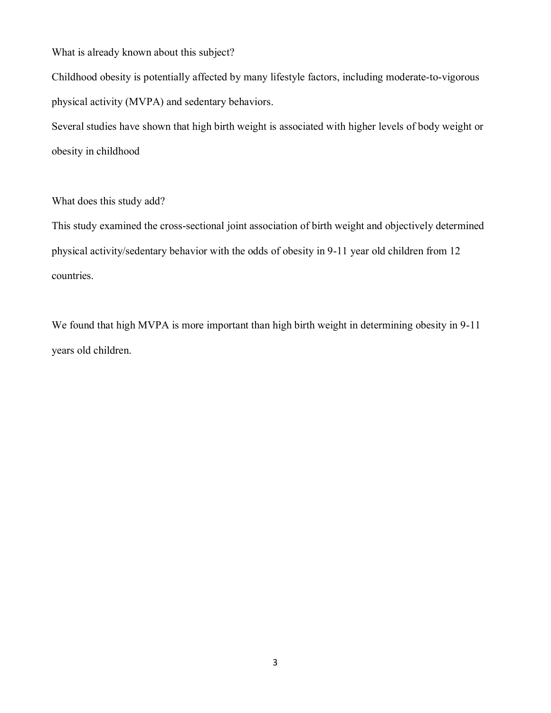What is already known about this subject?

Childhood obesity is potentially affected by many lifestyle factors, including moderate-to-vigorous physical activity (MVPA) and sedentary behaviors.

Several studies have shown that high birth weight is associated with higher levels of body weight or obesity in childhood

What does this study add?

This study examined the cross-sectional joint association of birth weight and objectively determined physical activity/sedentary behavior with the odds of obesity in 9-11 year old children from 12 countries.

We found that high MVPA is more important than high birth weight in determining obesity in 9-11 years old children.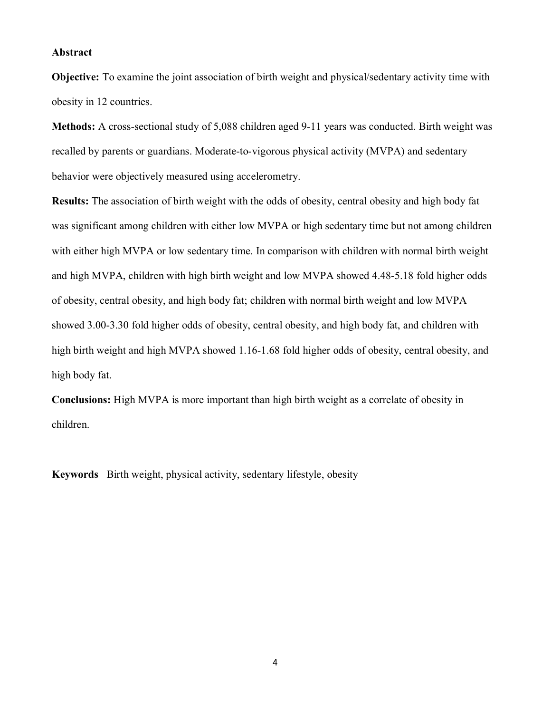#### **Abstract**

**Objective:** To examine the joint association of birth weight and physical/sedentary activity time with obesity in 12 countries.

**Methods:** A cross-sectional study of 5,088 children aged 9-11 years was conducted. Birth weight was recalled by parents or guardians. Moderate-to-vigorous physical activity (MVPA) and sedentary behavior were objectively measured using accelerometry.

**Results:** The association of birth weight with the odds of obesity, central obesity and high body fat was significant among children with either low MVPA or high sedentary time but not among children with either high MVPA or low sedentary time. In comparison with children with normal birth weight and high MVPA, children with high birth weight and low MVPA showed 4.48-5.18 fold higher odds of obesity, central obesity, and high body fat; children with normal birth weight and low MVPA showed 3.00-3.30 fold higher odds of obesity, central obesity, and high body fat, and children with high birth weight and high MVPA showed 1.16-1.68 fold higher odds of obesity, central obesity, and high body fat.

**Conclusions:** High MVPA is more important than high birth weight as a correlate of obesity in children.

**Keywords** Birth weight, physical activity, sedentary lifestyle, obesity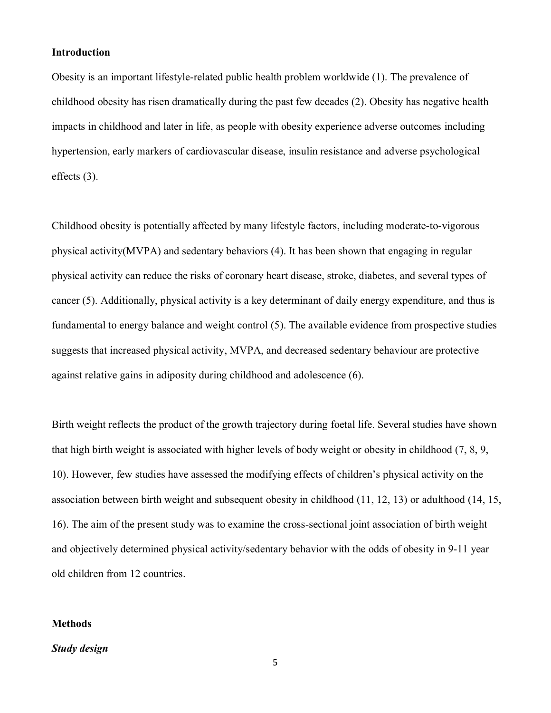#### **Introduction**

Obesity is an important lifestyle-related public health problem worldwide [\(1\)](#page-14-0). The prevalence of childhood obesity has risen dramatically during the past few decades [\(2\)](#page-14-1). Obesity has negative health impacts in childhood and later in life, as people with obesity experience adverse outcomes including hypertension, early markers of cardiovascular disease, insulin resistance and adverse psychological effects [\(3\)](#page-14-2).

Childhood obesity is potentially affected by many lifestyle factors, including moderate-to-vigorous physical activity(MVPA) and sedentary behaviors [\(4\)](#page-14-3). It has been shown that engaging in regular physical activity can reduce the risks of coronary heart disease, stroke, diabetes, and several types of cancer [\(5\)](#page-14-4). Additionally, physical activity is a key determinant of daily energy expenditure, and thus is fundamental to energy balance and weight control [\(5\)](#page-14-4). The available evidence from prospective studies suggests that increased physical activity, MVPA, and decreased sedentary behaviour are protective against relative gains in adiposity during childhood and adolescence [\(6\)](#page-14-5).

Birth weight reflects the product of the growth trajectory during foetal life. Several studies have shown that high birth weight is associated with higher levels of body weight or obesity in childhood [\(7,](#page-14-6) [8,](#page-14-7) [9,](#page-14-8) [10\)](#page-14-9). However, few studies have assessed the modifying effects of children's physical activity on the association between birth weight and subsequent obesity in childhood [\(11,](#page-14-10) [12,](#page-15-0) [13\)](#page-15-1) or adulthood [\(14,](#page-15-2) [15,](#page-15-3) [16\)](#page-15-4). The aim of the present study was to examine the cross-sectional joint association of birth weight and objectively determined physical activity/sedentary behavior with the odds of obesity in 9-11 year old children from 12 countries.

#### **Methods**

#### *Study design*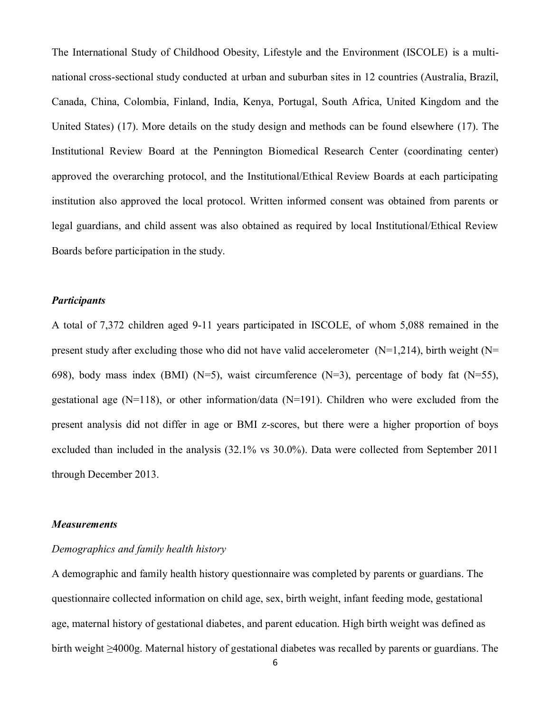The International Study of Childhood Obesity, Lifestyle and the Environment (ISCOLE) is a multinational cross-sectional study conducted at urban and suburban sites in 12 countries (Australia, Brazil, Canada, China, Colombia, Finland, India, Kenya, Portugal, South Africa, United Kingdom and the United States) [\(17\)](#page-15-5). More details on the study design and methods can be found elsewhere [\(17\)](#page-15-5). The Institutional Review Board at the Pennington Biomedical Research Center (coordinating center) approved the overarching protocol, and the Institutional/Ethical Review Boards at each participating institution also approved the local protocol. Written informed consent was obtained from parents or legal guardians, and child assent was also obtained as required by local Institutional/Ethical Review Boards before participation in the study.

#### *Participants*

A total of 7,372 children aged 9-11 years participated in ISCOLE, of whom 5,088 remained in the present study after excluding those who did not have valid accelerometer ( $N=1,214$ ), birth weight ( $N=$ 698), body mass index (BMI) (N=5), waist circumference (N=3), percentage of body fat (N=55), gestational age ( $N=118$ ), or other information/data ( $N=191$ ). Children who were excluded from the present analysis did not differ in age or BMI z-scores, but there were a higher proportion of boys excluded than included in the analysis (32.1% vs 30.0%). Data were collected from September 2011 through December 2013.

#### *Measurements*

#### *Demographics and family health history*

A demographic and family health history questionnaire was completed by parents or guardians. The questionnaire collected information on child age, sex, birth weight, infant feeding mode, gestational age, maternal history of gestational diabetes, and parent education. High birth weight was defined as birth weight ≥4000g. Maternal history of gestational diabetes was recalled by parents or guardians. The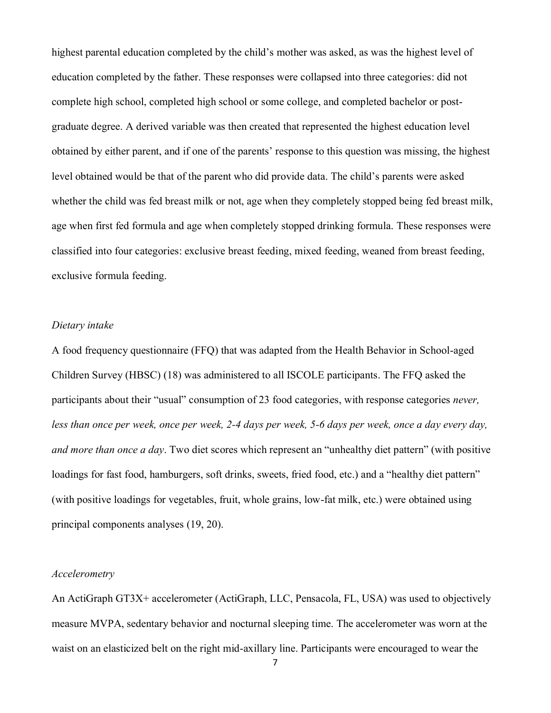highest parental education completed by the child's mother was asked, as was the highest level of education completed by the father. These responses were collapsed into three categories: did not complete high school, completed high school or some college, and completed bachelor or postgraduate degree. A derived variable was then created that represented the highest education level obtained by either parent, and if one of the parents' response to this question was missing, the highest level obtained would be that of the parent who did provide data. The child's parents were asked whether the child was fed breast milk or not, age when they completely stopped being fed breast milk, age when first fed formula and age when completely stopped drinking formula. These responses were classified into four categories: exclusive breast feeding, mixed feeding, weaned from breast feeding, exclusive formula feeding.

#### *Dietary intake*

A food frequency questionnaire (FFQ) that was adapted from the Health Behavior in School-aged Children Survey (HBSC) [\(18\)](#page-15-6) was administered to all ISCOLE participants. The FFQ asked the participants about their "usual" consumption of 23 food categories, with response categories *never, less than once per week, once per week, 2-4 days per week, 5-6 days per week, once a day every day, and more than once a day*. Two diet scores which represent an "unhealthy diet pattern" (with positive loadings for fast food, hamburgers, soft drinks, sweets, fried food, etc.) and a "healthy diet pattern" (with positive loadings for vegetables, fruit, whole grains, low-fat milk, etc.) were obtained using principal components analyses [\(19,](#page-15-7) [20\)](#page-15-8).

#### *Accelerometry*

An ActiGraph GT3X+ accelerometer (ActiGraph, LLC, Pensacola, FL, USA) was used to objectively measure MVPA, sedentary behavior and nocturnal sleeping time. The accelerometer was worn at the waist on an elasticized belt on the right mid-axillary line. Participants were encouraged to wear the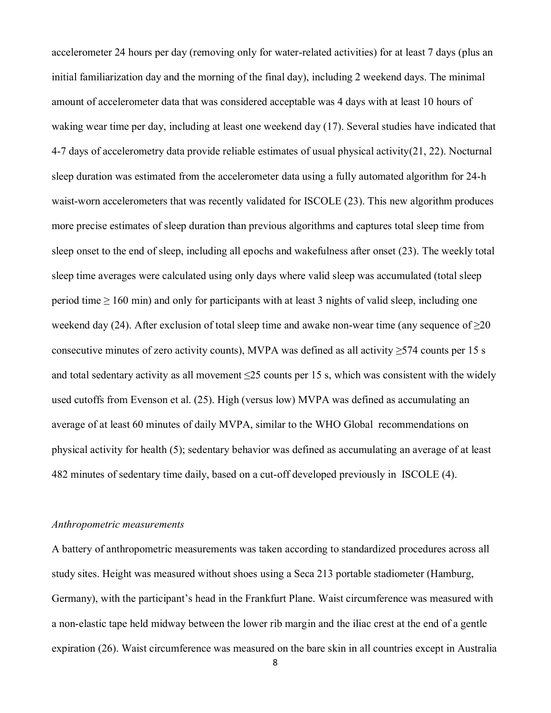accelerometer 24 hours per day (removing only for water-related activities) for at least 7 days (plus an initial familiarization day and the morning of the final day), including 2 weekend days. The minimal amount of accelerometer data that was considered acceptable was 4 days with at least 10 hours of waking wear time per day, including at least one weekend day [\(17\)](#page-15-5). Several studies have indicated that 4-7 days of accelerometry data provide reliable estimates of usual physical activity[\(21,](#page-15-9) [22\)](#page-16-0). Nocturnal sleep duration was estimated from the accelerometer data using a fully automated algorithm for 24-h waist-worn accelerometers that was recently validated for ISCOLE [\(23\)](#page-16-1). This new algorithm produces more precise estimates of sleep duration than previous algorithms and captures total sleep time from sleep onset to the end of sleep, including all epochs and wakefulness after onset [\(23\)](#page-16-1). The weekly total sleep time averages were calculated using only days where valid sleep was accumulated (total sleep period time  $\geq 160$  min) and only for participants with at least 3 nights of valid sleep, including one weekend day [\(24\)](#page-16-2). After exclusion of total sleep time and awake non-wear time (any sequence of  $\geq$ 20 consecutive minutes of zero activity counts), MVPA was defined as all activity  $\geq$ 574 counts per 15 s and total sedentary activity as all movement  $\leq 25$  counts per 15 s, which was consistent with the widely used cutoffs from Evenson et al. [\(25\)](#page-16-3). High (versus low) MVPA was defined as accumulating an average of at least 60 minutes of daily MVPA, similar to the WHO Global recommendations on physical activity for health [\(5\)](#page-14-4); sedentary behavior was defined as accumulating an average of at least 482 minutes of sedentary time daily, based on a cut-off developed previously in ISCOLE [\(4\)](#page-14-3).

#### *Anthropometric measurements*

A battery of anthropometric measurements was taken according to standardized procedures across all study sites. Height was measured without shoes using a Seca 213 portable stadiometer (Hamburg, Germany), with the participant's head in the Frankfurt Plane. Waist circumference was measured with a non-elastic tape held midway between the lower rib margin and the iliac crest at the end of a gentle expiration [\(26\)](#page-16-4). Waist circumference was measured on the bare skin in all countries except in Australia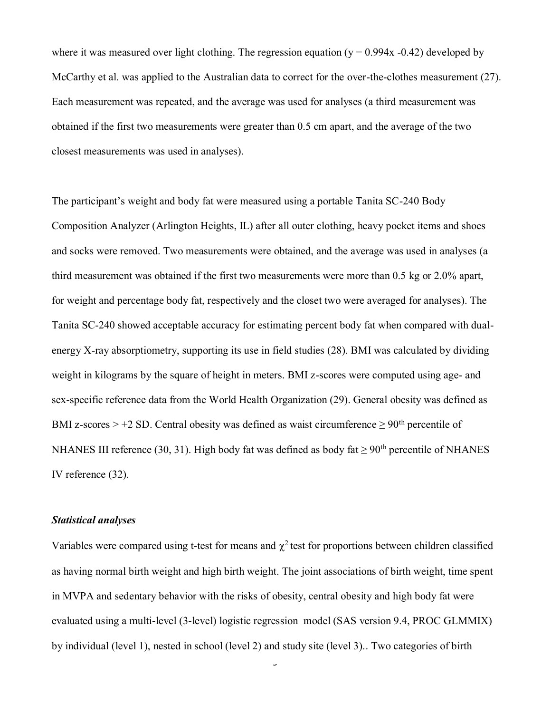where it was measured over light clothing. The regression equation ( $y = 0.994x -0.42$ ) developed by McCarthy et al. was applied to the Australian data to correct for the over-the-clothes measurement [\(27\)](#page-16-5). Each measurement was repeated, and the average was used for analyses (a third measurement was obtained if the first two measurements were greater than 0.5 cm apart, and the average of the two closest measurements was used in analyses).

The participant's weight and body fat were measured using a portable Tanita SC-240 Body Composition Analyzer (Arlington Heights, IL) after all outer clothing, heavy pocket items and shoes and socks were removed. Two measurements were obtained, and the average was used in analyses (a third measurement was obtained if the first two measurements were more than 0.5 kg or 2.0% apart, for weight and percentage body fat, respectively and the closet two were averaged for analyses). The Tanita SC-240 showed acceptable accuracy for estimating percent body fat when compared with dualenergy X-ray absorptiometry, supporting its use in field studies [\(28\)](#page-16-6). BMI was calculated by dividing weight in kilograms by the square of height in meters. BMI z-scores were computed using age- and sex-specific reference data from the World Health Organization [\(29\)](#page-16-7). General obesity was defined as BMI z-scores > +2 SD. Central obesity was defined as waist circumference  $\geq 90$ <sup>th</sup> percentile of NHANES III reference [\(30,](#page-16-8) [31\)](#page-16-9). High body fat was defined as body fat  $\geq 90$ <sup>th</sup> percentile of NHANES IV reference [\(32\)](#page-16-10).

#### *Statistical analyses*

Variables were compared using t-test for means and  $\chi^2$  test for proportions between children classified as having normal birth weight and high birth weight. The joint associations of birth weight, time spent in MVPA and sedentary behavior with the risks of obesity, central obesity and high body fat were evaluated using a multi-level (3-level) logistic regression model (SAS version 9.4, PROC GLMMIX) by individual (level 1), nested in school (level 2) and study site (level 3).. Two categories of birth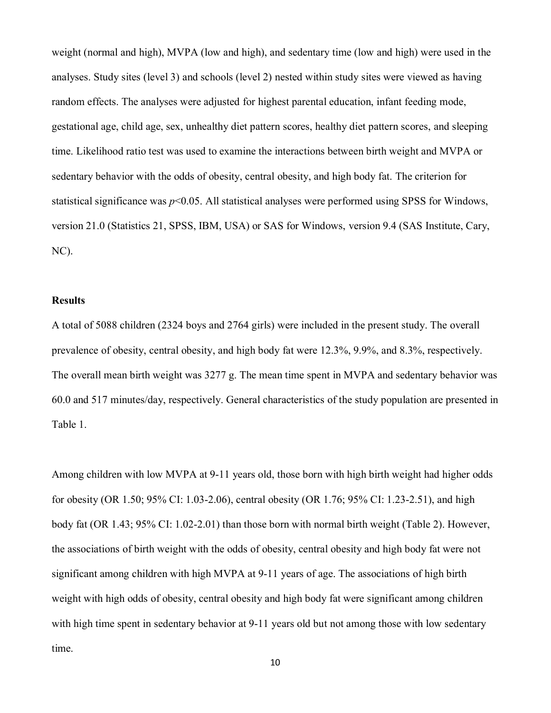weight (normal and high), MVPA (low and high), and sedentary time (low and high) were used in the analyses. Study sites (level 3) and schools (level 2) nested within study sites were viewed as having random effects. The analyses were adjusted for highest parental education, infant feeding mode, gestational age, child age, sex, unhealthy diet pattern scores, healthy diet pattern scores, and sleeping time. Likelihood ratio test was used to examine the interactions between birth weight and MVPA or sedentary behavior with the odds of obesity, central obesity, and high body fat. The criterion for statistical significance was  $p<0.05$ . All statistical analyses were performed using SPSS for Windows, version 21.0 (Statistics 21, SPSS, IBM, USA) or SAS for Windows, version 9.4 (SAS Institute, Cary, NC).

#### **Results**

A total of 5088 children (2324 boys and 2764 girls) were included in the present study. The overall prevalence of obesity, central obesity, and high body fat were 12.3%, 9.9%, and 8.3%, respectively. The overall mean birth weight was 3277 g. The mean time spent in MVPA and sedentary behavior was 60.0 and 517 minutes/day, respectively. General characteristics of the study population are presented in Table 1.

Among children with low MVPA at 9-11 years old, those born with high birth weight had higher odds for obesity (OR 1.50; 95% CI: 1.03-2.06), central obesity (OR 1.76; 95% CI: 1.23-2.51), and high body fat (OR 1.43; 95% CI: 1.02-2.01) than those born with normal birth weight (Table 2). However, the associations of birth weight with the odds of obesity, central obesity and high body fat were not significant among children with high MVPA at 9-11 years of age. The associations of high birth weight with high odds of obesity, central obesity and high body fat were significant among children with high time spent in sedentary behavior at 9-11 years old but not among those with low sedentary time.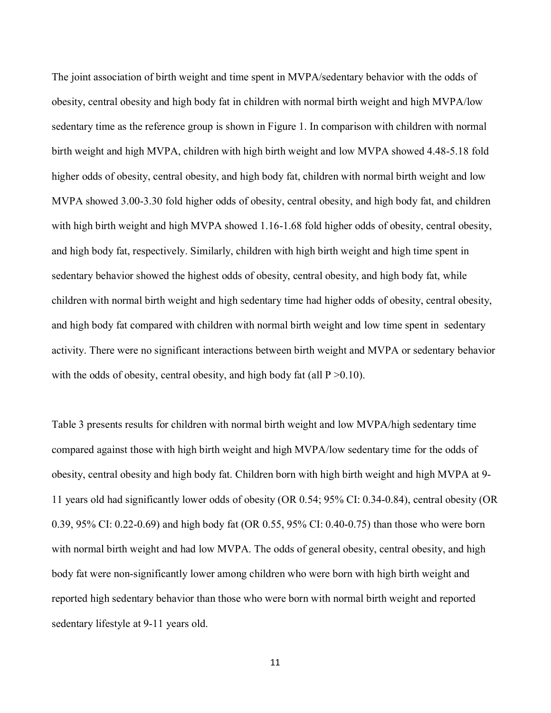The joint association of birth weight and time spent in MVPA/sedentary behavior with the odds of obesity, central obesity and high body fat in children with normal birth weight and high MVPA/low sedentary time as the reference group is shown in Figure 1. In comparison with children with normal birth weight and high MVPA, children with high birth weight and low MVPA showed 4.48-5.18 fold higher odds of obesity, central obesity, and high body fat, children with normal birth weight and low MVPA showed 3.00-3.30 fold higher odds of obesity, central obesity, and high body fat, and children with high birth weight and high MVPA showed 1.16-1.68 fold higher odds of obesity, central obesity, and high body fat, respectively. Similarly, children with high birth weight and high time spent in sedentary behavior showed the highest odds of obesity, central obesity, and high body fat, while children with normal birth weight and high sedentary time had higher odds of obesity, central obesity, and high body fat compared with children with normal birth weight and low time spent in sedentary activity. There were no significant interactions between birth weight and MVPA or sedentary behavior with the odds of obesity, central obesity, and high body fat (all  $P > 0.10$ ).

Table 3 presents results for children with normal birth weight and low MVPA/high sedentary time compared against those with high birth weight and high MVPA/low sedentary time for the odds of obesity, central obesity and high body fat. Children born with high birth weight and high MVPA at 9- 11 years old had significantly lower odds of obesity (OR 0.54; 95% CI: 0.34-0.84), central obesity (OR 0.39, 95% CI: 0.22-0.69) and high body fat (OR 0.55, 95% CI: 0.40-0.75) than those who were born with normal birth weight and had low MVPA. The odds of general obesity, central obesity, and high body fat were non-significantly lower among children who were born with high birth weight and reported high sedentary behavior than those who were born with normal birth weight and reported sedentary lifestyle at 9-11 years old.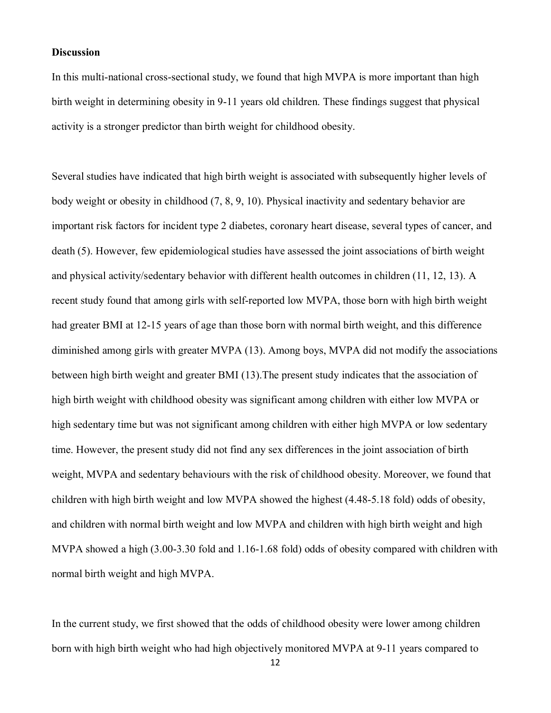#### **Discussion**

In this multi-national cross-sectional study, we found that high MVPA is more important than high birth weight in determining obesity in 9-11 years old children. These findings suggest that physical activity is a stronger predictor than birth weight for childhood obesity.

Several studies have indicated that high birth weight is associated with subsequently higher levels of body weight or obesity in childhood [\(7,](#page-14-6) [8,](#page-14-7) [9,](#page-14-8) [10\)](#page-14-9). Physical inactivity and sedentary behavior are important risk factors for incident type 2 diabetes, coronary heart disease, several types of cancer, and death [\(5\)](#page-14-4). However, few epidemiological studies have assessed the joint associations of birth weight and physical activity/sedentary behavior with different health outcomes in children [\(11,](#page-14-10) [12,](#page-15-0) [13\)](#page-15-1). A recent study found that among girls with self-reported low MVPA, those born with high birth weight had greater BMI at 12-15 years of age than those born with normal birth weight, and this difference diminished among girls with greater MVPA [\(13\)](#page-15-1). Among boys, MVPA did not modify the associations between high birth weight and greater BMI [\(13\)](#page-15-1).The present study indicates that the association of high birth weight with childhood obesity was significant among children with either low MVPA or high sedentary time but was not significant among children with either high MVPA or low sedentary time. However, the present study did not find any sex differences in the joint association of birth weight, MVPA and sedentary behaviours with the risk of childhood obesity. Moreover, we found that children with high birth weight and low MVPA showed the highest (4.48-5.18 fold) odds of obesity, and children with normal birth weight and low MVPA and children with high birth weight and high MVPA showed a high (3.00-3.30 fold and 1.16-1.68 fold) odds of obesity compared with children with normal birth weight and high MVPA.

In the current study, we first showed that the odds of childhood obesity were lower among children born with high birth weight who had high objectively monitored MVPA at 9-11 years compared to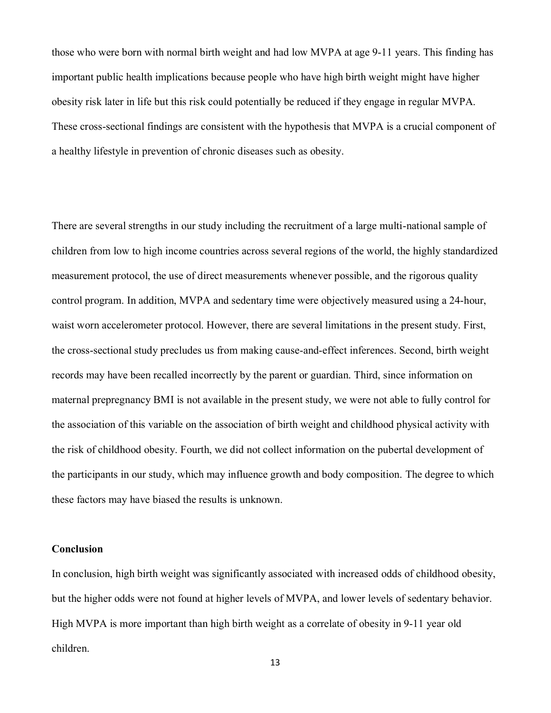those who were born with normal birth weight and had low MVPA at age 9-11 years. This finding has important public health implications because people who have high birth weight might have higher obesity risk later in life but this risk could potentially be reduced if they engage in regular MVPA. These cross-sectional findings are consistent with the hypothesis that MVPA is a crucial component of a healthy lifestyle in prevention of chronic diseases such as obesity.

There are several strengths in our study including the recruitment of a large multi-national sample of children from low to high income countries across several regions of the world, the highly standardized measurement protocol, the use of direct measurements whenever possible, and the rigorous quality control program. In addition, MVPA and sedentary time were objectively measured using a 24-hour, waist worn accelerometer protocol. However, there are several limitations in the present study. First, the cross-sectional study precludes us from making cause-and-effect inferences. Second, birth weight records may have been recalled incorrectly by the parent or guardian. Third, since information on maternal prepregnancy BMI is not available in the present study, we were not able to fully control for the association of this variable on the association of birth weight and childhood physical activity with the risk of childhood obesity. Fourth, we did not collect information on the pubertal development of the participants in our study, which may influence growth and body composition. The degree to which these factors may have biased the results is unknown.

#### **Conclusion**

In conclusion, high birth weight was significantly associated with increased odds of childhood obesity, but the higher odds were not found at higher levels of MVPA, and lower levels of sedentary behavior. High MVPA is more important than high birth weight as a correlate of obesity in 9-11 year old children.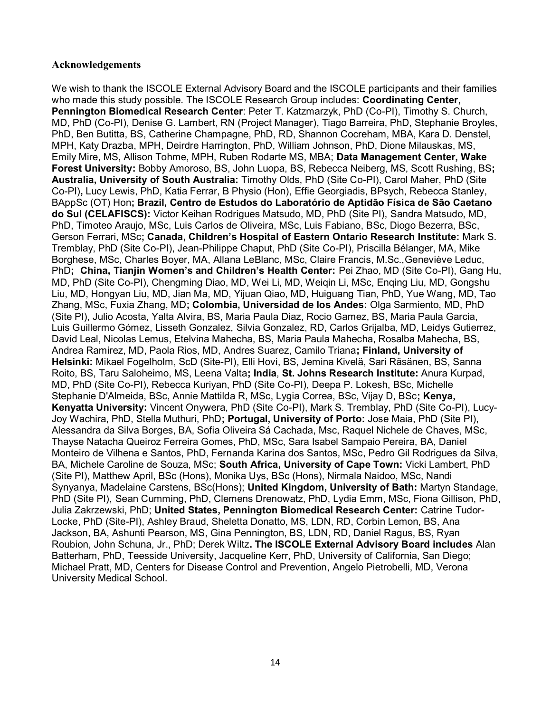## **Acknowledgements**

We wish to thank the ISCOLE External Advisory Board and the ISCOLE participants and their families who made this study possible. The ISCOLE Research Group includes: **Coordinating Center, Pennington Biomedical Research Center**: Peter T. Katzmarzyk, PhD (Co-PI), Timothy S. Church, MD, PhD (Co-PI), Denise G. Lambert, RN (Project Manager), Tiago Barreira, PhD, Stephanie Broyles, PhD, Ben Butitta, BS, Catherine Champagne, PhD, RD, Shannon Cocreham, MBA, Kara D. Denstel, MPH, Katy Drazba, MPH, Deirdre Harrington, PhD, William Johnson, PhD, Dione Milauskas, MS, Emily Mire, MS, Allison Tohme, MPH, Ruben Rodarte MS, MBA; **Data Management Center, Wake Forest University:** Bobby Amoroso, BS, John Luopa, BS, Rebecca Neiberg, MS, Scott Rushing, BS**; Australia, University of South Australia:** Timothy Olds, PhD (Site Co-PI), Carol Maher, PhD (Site Co-PI)**,** Lucy Lewis, PhD, Katia Ferrar, B Physio (Hon), Effie Georgiadis, BPsych, Rebecca Stanley, BAppSc (OT) Hon**; Brazil, Centro de Estudos do Laboratório de Aptidão Física de São Caetano do Sul (CELAFISCS):** Victor Keihan Rodrigues Matsudo, MD, PhD (Site PI), Sandra Matsudo, MD, PhD, Timoteo Araujo, MSc, Luis Carlos de Oliveira, MSc, Luis Fabiano, BSc, Diogo Bezerra, BSc, Gerson Ferrari, MSc**; Canada, Children's Hospital of Eastern Ontario Research Institute:** Mark S. Tremblay, PhD (Site Co-PI), Jean-Philippe Chaput, PhD (Site Co-PI), Priscilla Bélanger, MA, Mike Borghese, MSc, Charles Boyer, MA, Allana LeBlanc, MSc, Claire Francis, M.Sc.,Geneviève Leduc, PhD**; China, Tianjin Women's and Children's Health Center:** Pei Zhao, MD (Site Co-PI), Gang Hu, MD, PhD (Site Co-PI), Chengming Diao, MD, Wei Li, MD, Weiqin Li, MSc, Enqing Liu, MD, Gongshu Liu, MD, Hongyan Liu, MD, Jian Ma, MD, Yijuan Qiao, MD, Huiguang Tian, PhD, Yue Wang, MD, Tao Zhang, MSc, Fuxia Zhang, MD**; Colombia, Universidad de los Andes:** Olga Sarmiento, MD, PhD (Site PI), Julio Acosta, Yalta Alvira, BS, Maria Paula Diaz, Rocio Gamez, BS, Maria Paula Garcia, Luis Guillermo Gómez, Lisseth Gonzalez, Silvia Gonzalez, RD, Carlos Grijalba, MD, Leidys Gutierrez, David Leal, Nicolas Lemus, Etelvina Mahecha, BS, Maria Paula Mahecha, Rosalba Mahecha, BS, Andrea Ramirez, MD, Paola Rios, MD, Andres Suarez, Camilo Triana**; Finland, University of Helsinki:** Mikael Fogelholm, ScD (Site-PI), Elli Hovi, BS, Jemina Kivelä, Sari Räsänen, BS, Sanna Roito, BS, Taru Saloheimo, MS, Leena Valta**; India**, **St. Johns Research Institute:** Anura Kurpad, MD, PhD (Site Co-PI), Rebecca Kuriyan, PhD (Site Co-PI), Deepa P. Lokesh, BSc, Michelle Stephanie D'Almeida, BSc, Annie Mattilda R, MSc, Lygia Correa, BSc, Vijay D, BSc**; Kenya, Kenyatta University:** Vincent Onywera, PhD (Site Co-PI), Mark S. Tremblay, PhD (Site Co-PI), Lucy-Joy Wachira, PhD, Stella Muthuri, PhD**; Portugal, University of Porto:** Jose Maia, PhD (Site PI), Alessandra da Silva Borges, BA, Sofia Oliveira Sá Cachada, Msc, Raquel Nichele de Chaves, MSc, Thayse Natacha Queiroz Ferreira Gomes, PhD, MSc, Sara Isabel Sampaio Pereira, BA, Daniel Monteiro de Vilhena e Santos, PhD, Fernanda Karina dos Santos, MSc, Pedro Gil Rodrigues da Silva, BA, Michele Caroline de Souza, MSc; **South Africa, University of Cape Town:** Vicki Lambert, PhD (Site PI), Matthew April, BSc (Hons), Monika Uys, BSc (Hons), Nirmala Naidoo, MSc, Nandi Synyanya, Madelaine Carstens, BSc(Hons); **United Kingdom, University of Bath:** Martyn Standage, PhD (Site PI), Sean Cumming, PhD, Clemens Drenowatz, PhD, Lydia Emm, MSc, Fiona Gillison, PhD, Julia Zakrzewski, PhD; **United States, Pennington Biomedical Research Center:** Catrine Tudor-Locke, PhD (Site-PI), Ashley Braud, Sheletta Donatto, MS, LDN, RD, Corbin Lemon, BS, Ana Jackson, BA, Ashunti Pearson, MS, Gina Pennington, BS, LDN, RD, Daniel Ragus, BS, Ryan Roubion, John Schuna, Jr., PhD; Derek Wiltz**. The ISCOLE External Advisory Board includes** Alan Batterham, PhD, Teesside University, Jacqueline Kerr, PhD, University of California, San Diego; Michael Pratt, MD, Centers for Disease Control and Prevention, Angelo Pietrobelli, MD, Verona University Medical School.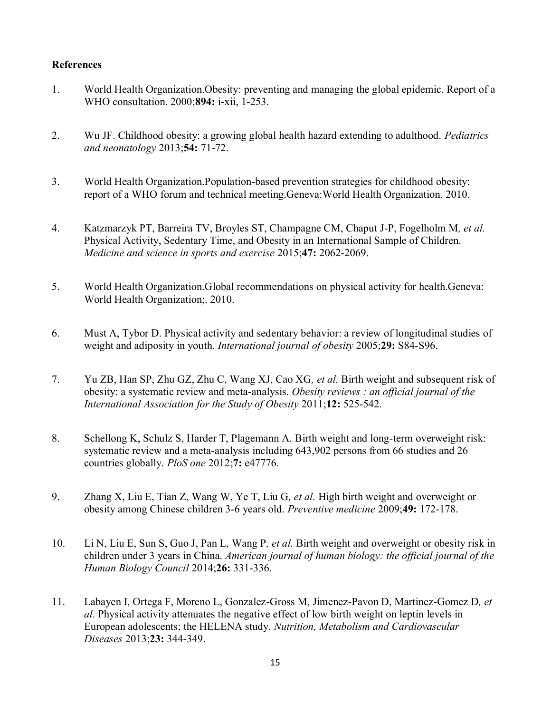# **References**

- <span id="page-14-0"></span>1. World Health Organization.Obesity: preventing and managing the global epidemic. Report of a WHO consultation. 2000;**894:** i-xii, 1-253.
- <span id="page-14-1"></span>2. Wu JF. Childhood obesity: a growing global health hazard extending to adulthood. *Pediatrics and neonatology* 2013;**54:** 71-72.
- <span id="page-14-2"></span>3. World Health Organization.Population-based prevention strategies for childhood obesity: report of a WHO forum and technical meeting.Geneva:World Health Organization. 2010.
- <span id="page-14-3"></span>4. Katzmarzyk PT, Barreira TV, Broyles ST, Champagne CM, Chaput J-P, Fogelholm M*, et al.* Physical Activity, Sedentary Time, and Obesity in an International Sample of Children. *Medicine and science in sports and exercise* 2015;**47:** 2062-2069.
- <span id="page-14-4"></span>5. World Health Organization.Global recommendations on physical activity for health.Geneva: World Health Organization;. 2010.
- <span id="page-14-5"></span>6. Must A, Tybor D. Physical activity and sedentary behavior: a review of longitudinal studies of weight and adiposity in youth. *International journal of obesity* 2005;**29:** S84-S96.
- <span id="page-14-6"></span>7. Yu ZB, Han SP, Zhu GZ, Zhu C, Wang XJ, Cao XG*, et al.* Birth weight and subsequent risk of obesity: a systematic review and meta-analysis. *Obesity reviews : an official journal of the International Association for the Study of Obesity* 2011;**12:** 525-542.
- <span id="page-14-7"></span>8. Schellong K, Schulz S, Harder T, Plagemann A. Birth weight and long-term overweight risk: systematic review and a meta-analysis including 643,902 persons from 66 studies and 26 countries globally. *PloS one* 2012;**7:** e47776.
- <span id="page-14-8"></span>9. Zhang X, Liu E, Tian Z, Wang W, Ye T, Liu G*, et al.* High birth weight and overweight or obesity among Chinese children 3-6 years old. *Preventive medicine* 2009;**49:** 172-178.
- <span id="page-14-9"></span>10. Li N, Liu E, Sun S, Guo J, Pan L, Wang P*, et al.* Birth weight and overweight or obesity risk in children under 3 years in China. *American journal of human biology: the official journal of the Human Biology Council* 2014;**26:** 331-336.
- <span id="page-14-10"></span>11. Labayen I, Ortega F, Moreno L, Gonzalez-Gross M, Jimenez-Pavon D, Martinez-Gomez D*, et al.* Physical activity attenuates the negative effect of low birth weight on leptin levels in European adolescents; the HELENA study. *Nutrition, Metabolism and Cardiovascular Diseases* 2013;**23:** 344-349.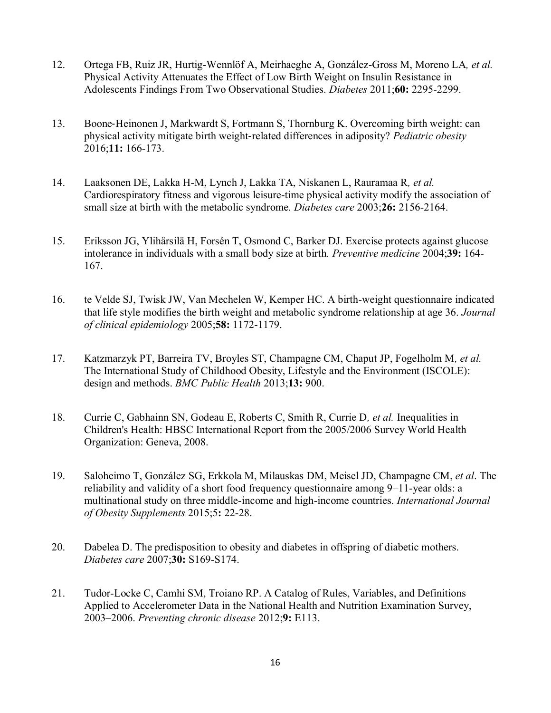- <span id="page-15-0"></span>12. Ortega FB, Ruiz JR, Hurtig-Wennlöf A, Meirhaeghe A, González-Gross M, Moreno LA*, et al.* Physical Activity Attenuates the Effect of Low Birth Weight on Insulin Resistance in Adolescents Findings From Two Observational Studies. *Diabetes* 2011;**60:** 2295-2299.
- <span id="page-15-1"></span>13. Boone-Heinonen J, Markwardt S, Fortmann S, Thornburg K. Overcoming birth weight: can physical activity mitigate birth weight‐related differences in adiposity? *Pediatric obesity* 2016;**11:** 166-173.
- <span id="page-15-2"></span>14. Laaksonen DE, Lakka H-M, Lynch J, Lakka TA, Niskanen L, Rauramaa R*, et al.* Cardiorespiratory fitness and vigorous leisure-time physical activity modify the association of small size at birth with the metabolic syndrome. *Diabetes care* 2003;**26:** 2156-2164.
- <span id="page-15-3"></span>15. Eriksson JG, Ylihärsilä H, Forsén T, Osmond C, Barker DJ. Exercise protects against glucose intolerance in individuals with a small body size at birth. *Preventive medicine* 2004;**39:** 164- 167.
- <span id="page-15-4"></span>16. te Velde SJ, Twisk JW, Van Mechelen W, Kemper HC. A birth-weight questionnaire indicated that life style modifies the birth weight and metabolic syndrome relationship at age 36. *Journal of clinical epidemiology* 2005;**58:** 1172-1179.
- <span id="page-15-5"></span>17. Katzmarzyk PT, Barreira TV, Broyles ST, Champagne CM, Chaput JP, Fogelholm M*, et al.* The International Study of Childhood Obesity, Lifestyle and the Environment (ISCOLE): design and methods. *BMC Public Health* 2013;**13:** 900.
- <span id="page-15-6"></span>18. Currie C, Gabhainn SN, Godeau E, Roberts C, Smith R, Currie D*, et al.* Inequalities in Children's Health: HBSC International Report from the 2005/2006 Survey World Health Organization: Geneva, 2008.
- <span id="page-15-7"></span>19. Saloheimo T, González SG, Erkkola M, Milauskas DM, Meisel JD, Champagne CM, *et al*. The reliability and validity of a short food frequency questionnaire among 9–11-year olds: a multinational study on three middle-income and high-income countries. *International Journal of Obesity Supplements* 2015;5**:** 22-28.
- <span id="page-15-8"></span>20. Dabelea D. The predisposition to obesity and diabetes in offspring of diabetic mothers. *Diabetes care* 2007;**30:** S169-S174.
- <span id="page-15-9"></span>21. Tudor-Locke C, Camhi SM, Troiano RP. A Catalog of Rules, Variables, and Definitions Applied to Accelerometer Data in the National Health and Nutrition Examination Survey, 2003–2006. *Preventing chronic disease* 2012;**9:** E113.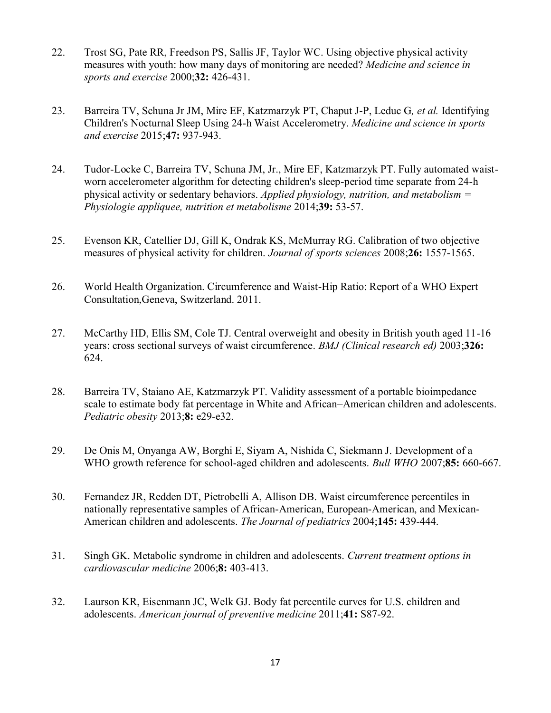- <span id="page-16-0"></span>22. Trost SG, Pate RR, Freedson PS, Sallis JF, Taylor WC. Using objective physical activity measures with youth: how many days of monitoring are needed? *Medicine and science in sports and exercise* 2000;**32:** 426-431.
- <span id="page-16-1"></span>23. Barreira TV, Schuna Jr JM, Mire EF, Katzmarzyk PT, Chaput J-P, Leduc G*, et al.* Identifying Children's Nocturnal Sleep Using 24-h Waist Accelerometry. *Medicine and science in sports and exercise* 2015;**47:** 937-943.
- <span id="page-16-2"></span>24. Tudor-Locke C, Barreira TV, Schuna JM, Jr., Mire EF, Katzmarzyk PT. Fully automated waistworn accelerometer algorithm for detecting children's sleep-period time separate from 24-h physical activity or sedentary behaviors. *Applied physiology, nutrition, and metabolism = Physiologie appliquee, nutrition et metabolisme* 2014;**39:** 53-57.
- <span id="page-16-3"></span>25. Evenson KR, Catellier DJ, Gill K, Ondrak KS, McMurray RG. Calibration of two objective measures of physical activity for children. *Journal of sports sciences* 2008;**26:** 1557-1565.
- <span id="page-16-4"></span>26. World Health Organization. Circumference and Waist-Hip Ratio: Report of a WHO Expert Consultation,Geneva, Switzerland. 2011.
- <span id="page-16-5"></span>27. McCarthy HD, Ellis SM, Cole TJ. Central overweight and obesity in British youth aged 11-16 years: cross sectional surveys of waist circumference. *BMJ (Clinical research ed)* 2003;**326:** 624.
- <span id="page-16-6"></span>28. Barreira TV, Staiano AE, Katzmarzyk PT. Validity assessment of a portable bioimpedance scale to estimate body fat percentage in White and African–American children and adolescents. *Pediatric obesity* 2013;**8:** e29-e32.
- <span id="page-16-7"></span>29. De Onis M, Onyanga AW, Borghi E, Siyam A, Nishida C, Siekmann J. Development of a WHO growth reference for school-aged children and adolescents. *Bull WHO* 2007;**85:** 660-667.
- <span id="page-16-8"></span>30. Fernandez JR, Redden DT, Pietrobelli A, Allison DB. Waist circumference percentiles in nationally representative samples of African-American, European-American, and Mexican-American children and adolescents. *The Journal of pediatrics* 2004;**145:** 439-444.
- <span id="page-16-9"></span>31. Singh GK. Metabolic syndrome in children and adolescents. *Current treatment options in cardiovascular medicine* 2006;**8:** 403-413.
- <span id="page-16-10"></span>32. Laurson KR, Eisenmann JC, Welk GJ. Body fat percentile curves for U.S. children and adolescents. *American journal of preventive medicine* 2011;**41:** S87-92.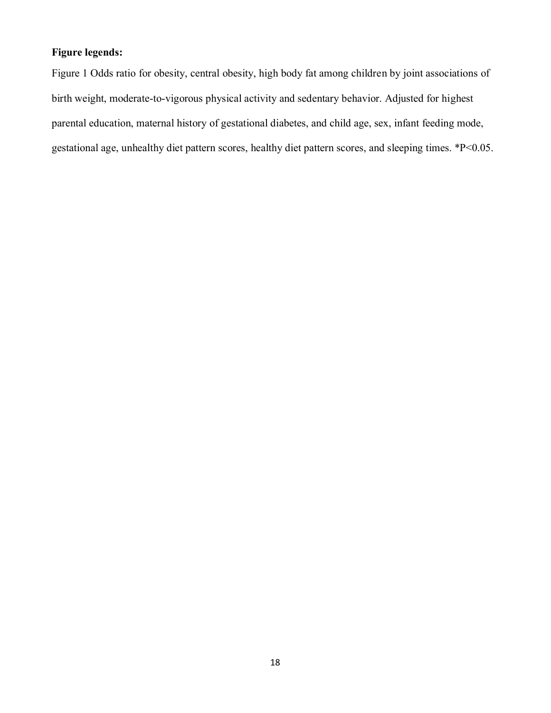# **Figure legends:**

Figure 1 Odds ratio for obesity, central obesity, high body fat among children by joint associations of birth weight, moderate-to-vigorous physical activity and sedentary behavior. Adjusted for highest parental education, maternal history of gestational diabetes, and child age, sex, infant feeding mode, gestational age, unhealthy diet pattern scores, healthy diet pattern scores, and sleeping times. \*P<0.05.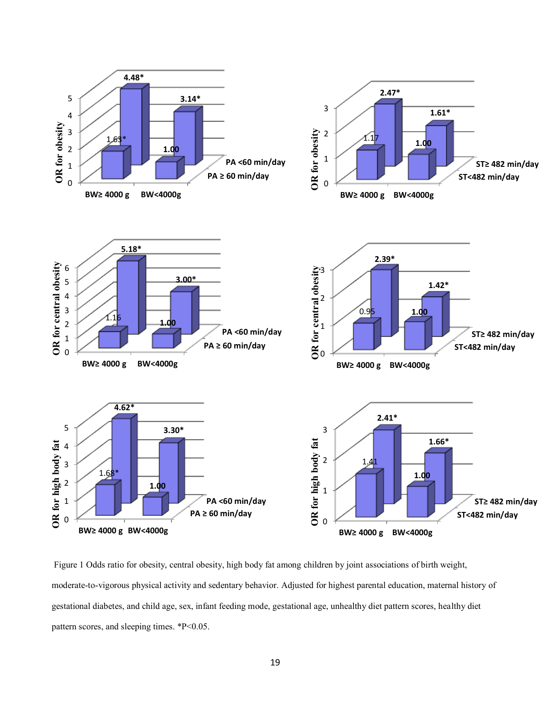

Figure 1 Odds ratio for obesity, central obesity, high body fat among children by joint associations of birth weight, moderate-to-vigorous physical activity and sedentary behavior. Adjusted for highest parental education, maternal history of gestational diabetes, and child age, sex, infant feeding mode, gestational age, unhealthy diet pattern scores, healthy diet pattern scores, and sleeping times. \*P<0.05.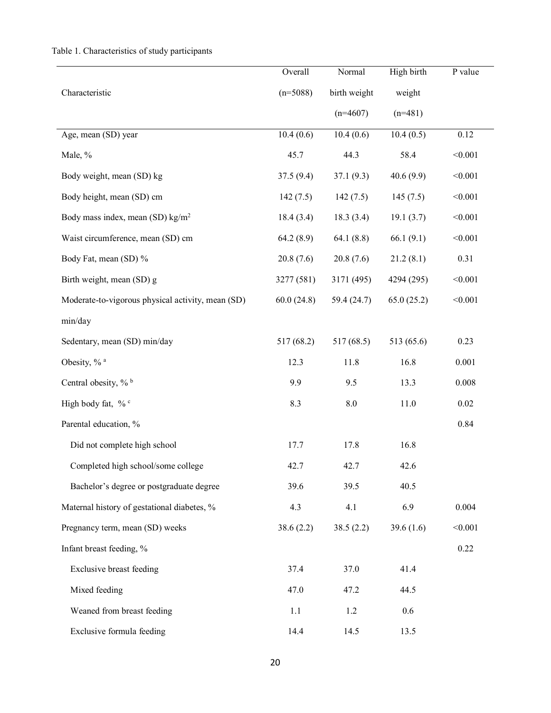|                                                   | Overall    | Normal             | High birth | P value   |
|---------------------------------------------------|------------|--------------------|------------|-----------|
| Characteristic                                    | $(n=5088)$ | birth weight       | weight     |           |
|                                                   |            | $(n=4607)$         | $(n=481)$  |           |
| Age, mean (SD) year                               | 10.4(0.6)  | 10.4(0.6)          | 10.4(0.5)  | 0.12      |
| Male, %                                           | 45.7       | 44.3               | 58.4       | < 0.001   |
| Body weight, mean (SD) kg                         | 37.5(9.4)  | 37.1(9.3)          | 40.6(9.9)  | < 0.001   |
| Body height, mean (SD) cm                         | 142(7.5)   | 142(7.5)           | 145(7.5)   | < 0.001   |
| Body mass index, mean (SD) $\text{kg/m}^2$        | 18.4(3.4)  | 18.3(3.4)          | 19.1(3.7)  | < 0.001   |
| Waist circumference, mean (SD) cm                 | 64.2(8.9)  | 64.1(8.8)          | 66.1(9.1)  | < 0.001   |
| Body Fat, mean (SD) %                             | 20.8(7.6)  | 20.8(7.6)          | 21.2(8.1)  | 0.31      |
| Birth weight, mean (SD) g                         | 3277 (581) | 3171 (495)         | 4294 (295) | < 0.001   |
| Moderate-to-vigorous physical activity, mean (SD) | 60.0(24.8) | 59.4 (24.7)        | 65.0(25.2) | < 0.001   |
| min/day                                           |            |                    |            |           |
| Sedentary, mean (SD) min/day                      | 517 (68.2) | 517 (68.5)         | 513 (65.6) | 0.23      |
| Obesity, % <sup>a</sup>                           | 12.3       | 11.8               | 16.8       | 0.001     |
| Central obesity, % b                              | 9.9        | 9.5                | 13.3       | $0.008\,$ |
| High body fat, % c                                | 8.3        | $\boldsymbol{8.0}$ | $11.0\,$   | 0.02      |
| Parental education, %                             |            |                    |            | 0.84      |
| Did not complete high school                      | 17.7       | 17.8               | 16.8       |           |
| Completed high school/some college                | 42.7       | 42.7               | 42.6       |           |
| Bachelor's degree or postgraduate degree          | 39.6       | 39.5               | 40.5       |           |
| Maternal history of gestational diabetes, %       | 4.3        | 4.1                | 6.9        | 0.004     |
| Pregnancy term, mean (SD) weeks                   | 38.6(2.2)  | 38.5(2.2)          | 39.6(1.6)  | < 0.001   |
| Infant breast feeding, %                          |            |                    |            | 0.22      |
| Exclusive breast feeding                          | 37.4       | 37.0               | 41.4       |           |
| Mixed feeding                                     | 47.0       | 47.2               | 44.5       |           |
| Weaned from breast feeding                        | 1.1        | 1.2                | 0.6        |           |
| Exclusive formula feeding                         | 14.4       | 14.5               | 13.5       |           |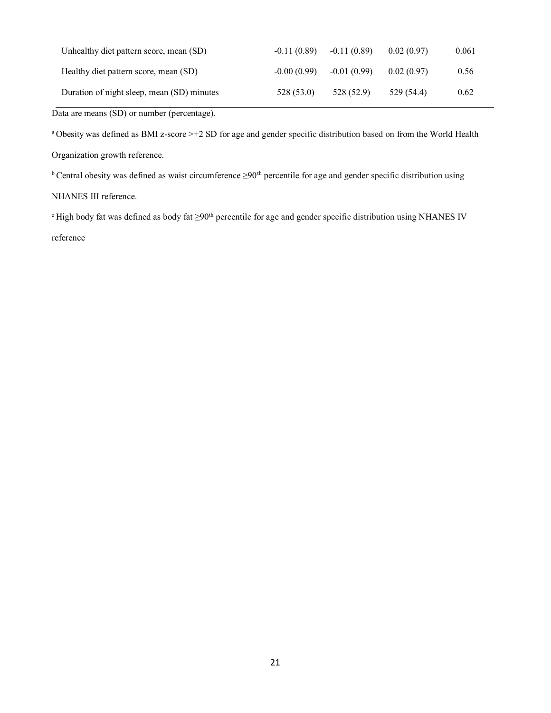| Unhealthy diet pattern score, mean (SD)    | $-0.11(0.89)$ | $-0.11(0.89)$ | 0.02(0.97) | 0.061 |
|--------------------------------------------|---------------|---------------|------------|-------|
| Healthy diet pattern score, mean (SD)      | $-0.00(0.99)$ | $-0.01(0.99)$ | 0.02(0.97) | 0.56  |
| Duration of night sleep, mean (SD) minutes | 528 (53.0)    | 528 (52.9)    | 529 (54.4) | 0.62  |

Data are means (SD) or number (percentage).

<sup>a</sup> Obesity was defined as BMI z-score >+2 SD for age and gender specific distribution based on from the World Health Organization growth reference.

 $<sup>b</sup>$  Central obesity was defined as waist circumference  $\geq$ 90<sup>th</sup> percentile for age and gender specific distribution using</sup>

#### NHANES III reference.

<sup>c</sup>High body fat was defined as body fat ≥90th percentile for age and gender specific distribution using NHANES IV reference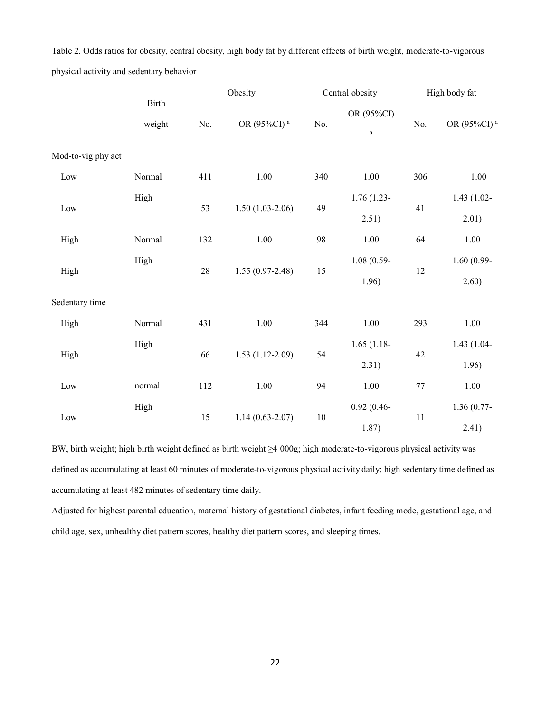Table 2. Odds ratios for obesity, central obesity, high body fat by different effects of birth weight, moderate-to-vigorous physical activity and sedentary behavior

|                    | Birth                                   |     | Obesity                 |                         | Central obesity        |        | High body fat           |  |
|--------------------|-----------------------------------------|-----|-------------------------|-------------------------|------------------------|--------|-------------------------|--|
| weight             |                                         | No. | OR (95%CI) <sup>a</sup> | No.                     | OR (95%CI)<br>$\rm{a}$ | No.    | OR (95%CI) <sup>a</sup> |  |
| Mod-to-vig phy act |                                         |     |                         |                         |                        |        |                         |  |
| Low                | Normal                                  | 411 | $1.00\,$                | 340                     | 1.00                   | 306    | 1.00                    |  |
| Low                | High                                    | 53  |                         | $1.50(1.03-2.06)$<br>49 | $1.76(1.23 -$          | 41     | $1.43(1.02 -$           |  |
|                    |                                         |     |                         |                         | 2.51)                  |        | 2.01)                   |  |
| High               | Normal                                  | 132 | 1.00                    | 98                      | $1.00\,$               | 64     | 1.00                    |  |
|                    | High                                    |     |                         |                         | $1.08(0.59-$           |        | $1.60(0.99-$            |  |
| High               | $28\,$<br>$1.55(0.97 - 2.48)$<br>$15\,$ |     | 12<br>1.96)             |                         | 2.60)                  |        |                         |  |
| Sedentary time     |                                         |     |                         |                         |                        |        |                         |  |
| High               | Normal                                  | 431 | 1.00                    | 344                     | 1.00                   | 293    | 1.00                    |  |
|                    | High                                    |     |                         |                         | $1.65(1.18-$           | 42     | 1.43 (1.04-             |  |
| High               |                                         | 66  | $1.53(1.12-2.09)$       | 54                      | 2.31)                  |        | 1.96)                   |  |
| Low                | normal                                  | 112 | $1.00\,$                | 94                      | $1.00\,$               | $77\,$ | 1.00                    |  |
|                    | High                                    |     |                         |                         | $0.92(0.46 -$          |        | $1.36(0.77-$            |  |
| Low                |                                         | 15  | $1.14(0.63 - 2.07)$     | $10\,$                  | 1.87)                  | 11     | 2.41)                   |  |

BW, birth weight; high birth weight defined as birth weight ≥4 000g; high moderate-to-vigorous physical activity was defined as accumulating at least 60 minutes of moderate-to-vigorous physical activity daily; high sedentary time defined as accumulating at least 482 minutes of sedentary time daily.

Adjusted for highest parental education, maternal history of gestational diabetes, infant feeding mode, gestational age, and child age, sex, unhealthy diet pattern scores, healthy diet pattern scores, and sleeping times.